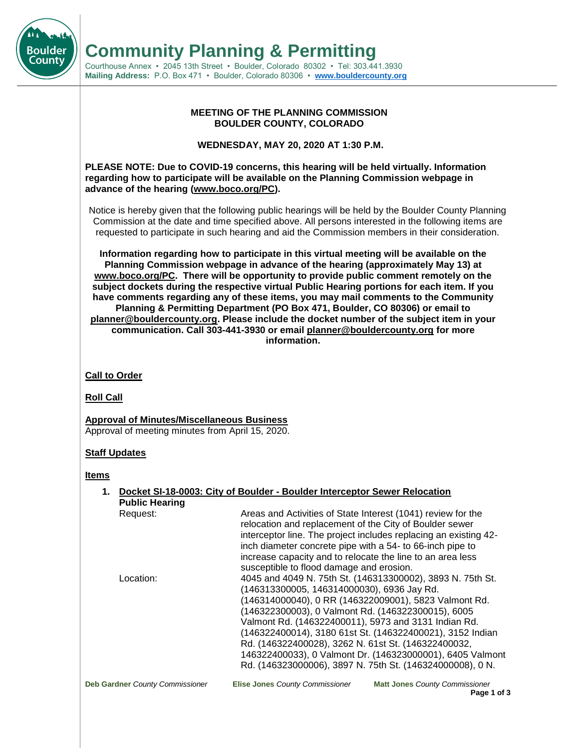**Community Planning & Permitting**

Courthouse Annex • 2045 13th Street • Boulder, Colorado 80302 • Tel: 303.441.3930 **Mailing Address:** P.O. Box 471 • Boulder, Colorado 80306 • **[www.bouldercounty.org](http://www.bouldercounty.org/)**

### **MEETING OF THE PLANNING COMMISSION BOULDER COUNTY, COLORADO**

**WEDNESDAY, MAY 20, 2020 AT 1:30 P.M.**

**PLEASE NOTE: Due to COVID-19 concerns, this hearing will be held virtually. Information regarding how to participate will be available on the Planning Commission webpage in advance of the hearing (www.boco.org/PC).** 

Notice is hereby given that the following public hearings will be held by the Boulder County Planning Commission at the date and time specified above. All persons interested in the following items are requested to participate in such hearing and aid the Commission members in their consideration.

**Information regarding how to participate in this virtual meeting will be available on the Planning Commission webpage in advance of the hearing (approximately May 13) at www.boco.org/PC. There will be opportunity to provide public comment remotely on the subject dockets during the respective virtual Public Hearing portions for each item. If you have comments regarding any of these items, you may mail comments to the Community Planning & Permitting Department (PO Box 471, Boulder, CO 80306) or email to planner@bouldercounty.org. Please include the docket number of the subject item in your communication. Call 303-441-3930 or email planner@bouldercounty.org for more information.**

## **Call to Order**

**Roll Call**

Boulder County

> **Approval of Minutes/Miscellaneous Business** Approval of meeting minutes from April 15, 2020.

# **Staff Updates**

**Items**

|                                 | 1. Docket SI-18-0003: City of Boulder - Boulder Interceptor Sewer Relocation                                                                                                                                                                                                                                                                                                                                                                                     |
|---------------------------------|------------------------------------------------------------------------------------------------------------------------------------------------------------------------------------------------------------------------------------------------------------------------------------------------------------------------------------------------------------------------------------------------------------------------------------------------------------------|
| <b>Public Hearing</b>           |                                                                                                                                                                                                                                                                                                                                                                                                                                                                  |
| Request:                        | Areas and Activities of State Interest (1041) review for the<br>relocation and replacement of the City of Boulder sewer<br>interceptor line. The project includes replacing an existing 42-<br>inch diameter concrete pipe with a 54- to 66-inch pipe to<br>increase capacity and to relocate the line to an area less                                                                                                                                           |
|                                 | susceptible to flood damage and erosion.                                                                                                                                                                                                                                                                                                                                                                                                                         |
| Location:                       | 4045 and 4049 N. 75th St. (146313300002), 3893 N. 75th St.<br>(146313300005, 146314000030), 6936 Jay Rd.<br>(146314000040), 0 RR (146322009001), 5823 Valmont Rd.<br>(146322300003), 0 Valmont Rd. (146322300015), 6005<br>Valmont Rd. (146322400011), 5973 and 3131 Indian Rd.<br>(146322400014), 3180 61st St. (146322400021), 3152 Indian<br>Rd. (146322400028), 3262 N. 61st St. (146322400032,<br>146322400033), 0 Valmont Dr. (146323000001), 6405 Valmont |
|                                 | Rd. (146323000006), 3897 N. 75th St. (146324000008), 0 N.                                                                                                                                                                                                                                                                                                                                                                                                        |
| Deb Gardner County Commissioner | <b>Elise Jones County Commissioner</b><br><b>Matt Jones County Commissioner</b>                                                                                                                                                                                                                                                                                                                                                                                  |

**Page 1 of 3**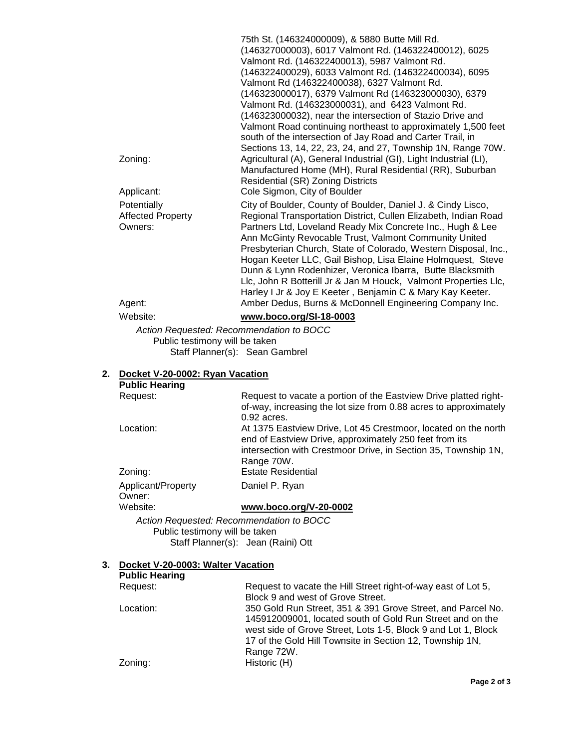|                          | 75th St. (146324000009), & 5880 Butte Mill Rd.                    |
|--------------------------|-------------------------------------------------------------------|
|                          | (146327000003), 6017 Valmont Rd. (146322400012), 6025             |
|                          | Valmont Rd. (146322400013), 5987 Valmont Rd.                      |
|                          | (146322400029), 6033 Valmont Rd. (146322400034), 6095             |
|                          | Valmont Rd (146322400038), 6327 Valmont Rd.                       |
|                          | (146323000017), 6379 Valmont Rd (146323000030), 6379              |
|                          | Valmont Rd. (146323000031), and 6423 Valmont Rd.                  |
|                          | (146323000032), near the intersection of Stazio Drive and         |
|                          | Valmont Road continuing northeast to approximately 1,500 feet     |
|                          | south of the intersection of Jay Road and Carter Trail, in        |
|                          | Sections 13, 14, 22, 23, 24, and 27, Township 1N, Range 70W.      |
| Zoning:                  | Agricultural (A), General Industrial (GI), Light Industrial (LI), |
|                          | Manufactured Home (MH), Rural Residential (RR), Suburban          |
|                          | <b>Residential (SR) Zoning Districts</b>                          |
| Applicant:               | Cole Sigmon, City of Boulder                                      |
| Potentially              | City of Boulder, County of Boulder, Daniel J. & Cindy Lisco,      |
| <b>Affected Property</b> | Regional Transportation District, Cullen Elizabeth, Indian Road   |
| Owners:                  | Partners Ltd, Loveland Ready Mix Concrete Inc., Hugh & Lee        |
|                          | Ann McGinty Revocable Trust, Valmont Community United             |
|                          | Presbyterian Church, State of Colorado, Western Disposal, Inc.,   |
|                          | Hogan Keeter LLC, Gail Bishop, Lisa Elaine Holmquest, Steve       |
|                          | Dunn & Lynn Rodenhizer, Veronica Ibarra, Butte Blacksmith         |
|                          | Llc, John R Botterill Jr & Jan M Houck, Valmont Properties Llc,   |
|                          | Harley I Jr & Joy E Keeter, Benjamin C & Mary Kay Keeter.         |
| Agent:                   | Amber Dedus, Burns & McDonnell Engineering Company Inc.           |
| Website:                 | www.boco.org/SI-18-0003                                           |

*Action Requested: Recommendation to BOCC* Public testimony will be taken Staff Planner(s): Sean Gambrel

# **2. Docket V-20-0002: Ryan Vacation**

| <b>Public Hearing</b>                    |                                                                                                                                                                                                          |
|------------------------------------------|----------------------------------------------------------------------------------------------------------------------------------------------------------------------------------------------------------|
| Request:                                 | Request to vacate a portion of the Eastview Drive platted right-<br>of-way, increasing the lot size from 0.88 acres to approximately<br>$0.92$ acres.                                                    |
| Location:                                | At 1375 Eastview Drive, Lot 45 Crestmoor, located on the north<br>end of Eastview Drive, approximately 250 feet from its<br>intersection with Crestmoor Drive, in Section 35, Township 1N,<br>Range 70W. |
| Zoning:                                  | <b>Estate Residential</b>                                                                                                                                                                                |
| Applicant/Property<br>Owner:             | Daniel P. Ryan                                                                                                                                                                                           |
| Website:                                 | www.boco.org/V-20-0002                                                                                                                                                                                   |
| Action Requested: Recommendation to BOCC |                                                                                                                                                                                                          |

Public testimony will be taken Staff Planner(s): Jean (Raini) Ott

# **3. Docket V-20-0003: Walter Vacation**

| <b>Public Hearing</b> |                                                               |
|-----------------------|---------------------------------------------------------------|
| Request:              | Request to vacate the Hill Street right-of-way east of Lot 5, |
|                       | Block 9 and west of Grove Street.                             |
| Location:             | 350 Gold Run Street, 351 & 391 Grove Street, and Parcel No.   |
|                       | 145912009001, located south of Gold Run Street and on the     |
|                       | west side of Grove Street, Lots 1-5, Block 9 and Lot 1, Block |
|                       | 17 of the Gold Hill Townsite in Section 12, Township 1N,      |
|                       | Range 72W.                                                    |
| Zoning:               | Historic (H)                                                  |
|                       |                                                               |